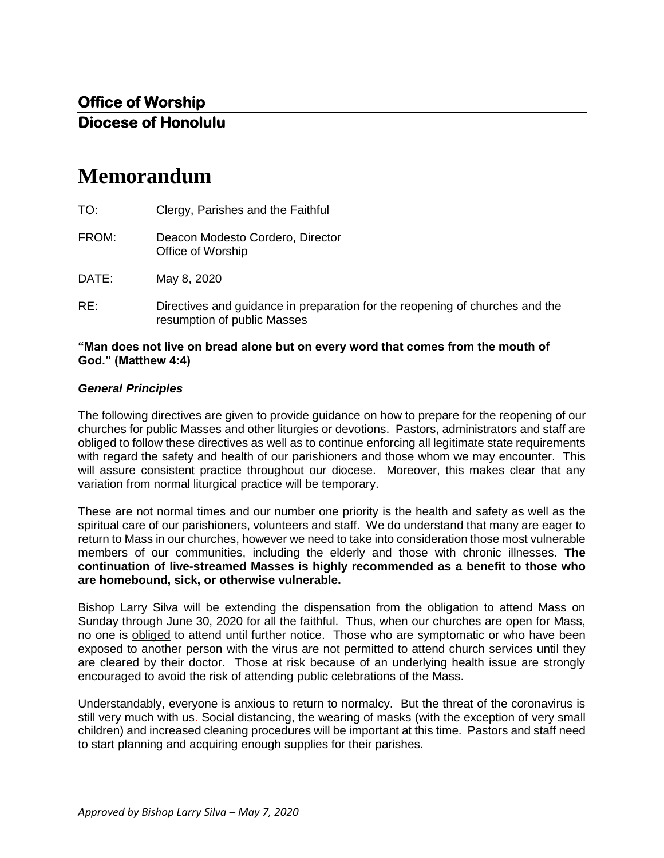# **Memorandum**

| TO:                                                                                | Clergy, Parishes and the Faithful                                                                           |
|------------------------------------------------------------------------------------|-------------------------------------------------------------------------------------------------------------|
| FROM:                                                                              | Deacon Modesto Cordero, Director<br>Office of Worship                                                       |
| DATE:                                                                              | May 8, 2020                                                                                                 |
| RE:                                                                                | Directives and guidance in preparation for the reopening of churches and the<br>resumption of public Masses |
| "Max dees net live on bused alone but an avenument that espece fusue the meanth of |                                                                                                             |

### **"Man does not live on bread alone but on every word that comes from the mouth of God." (Matthew 4:4)**

## *General Principles*

The following directives are given to provide guidance on how to prepare for the reopening of our churches for public Masses and other liturgies or devotions. Pastors, administrators and staff are obliged to follow these directives as well as to continue enforcing all legitimate state requirements with regard the safety and health of our parishioners and those whom we may encounter. This will assure consistent practice throughout our diocese. Moreover, this makes clear that any variation from normal liturgical practice will be temporary.

These are not normal times and our number one priority is the health and safety as well as the spiritual care of our parishioners, volunteers and staff. We do understand that many are eager to return to Mass in our churches, however we need to take into consideration those most vulnerable members of our communities, including the elderly and those with chronic illnesses. **The continuation of live-streamed Masses is highly recommended as a benefit to those who are homebound, sick, or otherwise vulnerable.** 

Bishop Larry Silva will be extending the dispensation from the obligation to attend Mass on Sunday through June 30, 2020 for all the faithful. Thus, when our churches are open for Mass, no one is obliged to attend until further notice. Those who are symptomatic or who have been exposed to another person with the virus are not permitted to attend church services until they are cleared by their doctor. Those at risk because of an underlying health issue are strongly encouraged to avoid the risk of attending public celebrations of the Mass.

Understandably, everyone is anxious to return to normalcy. But the threat of the coronavirus is still very much with us. Social distancing, the wearing of masks (with the exception of very small children) and increased cleaning procedures will be important at this time. Pastors and staff need to start planning and acquiring enough supplies for their parishes.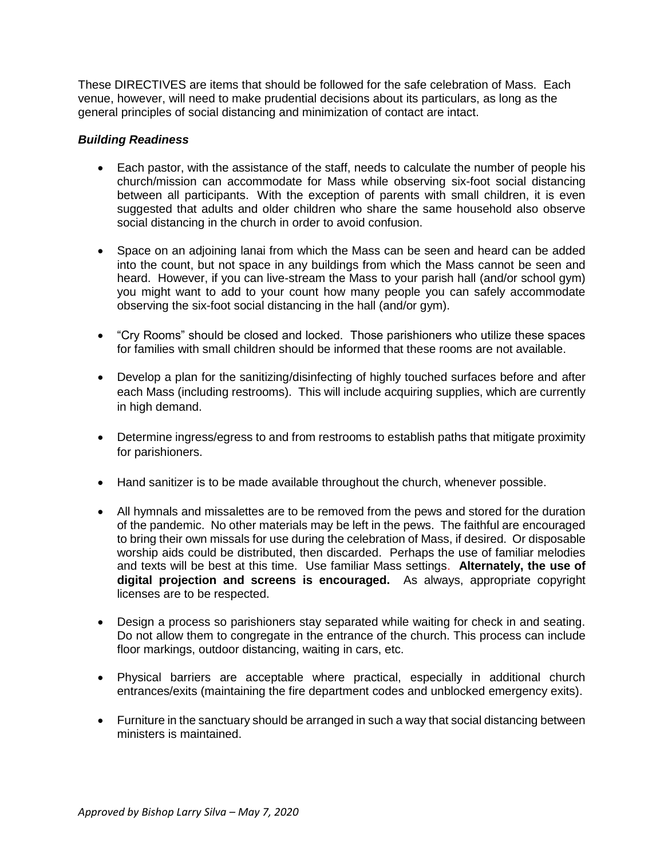These DIRECTIVES are items that should be followed for the safe celebration of Mass. Each venue, however, will need to make prudential decisions about its particulars, as long as the general principles of social distancing and minimization of contact are intact.

# *Building Readiness*

- Each pastor, with the assistance of the staff, needs to calculate the number of people his church/mission can accommodate for Mass while observing six-foot social distancing between all participants. With the exception of parents with small children, it is even suggested that adults and older children who share the same household also observe social distancing in the church in order to avoid confusion.
- Space on an adjoining lanai from which the Mass can be seen and heard can be added into the count, but not space in any buildings from which the Mass cannot be seen and heard. However, if you can live-stream the Mass to your parish hall (and/or school gym) you might want to add to your count how many people you can safely accommodate observing the six-foot social distancing in the hall (and/or gym).
- "Cry Rooms" should be closed and locked. Those parishioners who utilize these spaces for families with small children should be informed that these rooms are not available.
- Develop a plan for the sanitizing/disinfecting of highly touched surfaces before and after each Mass (including restrooms). This will include acquiring supplies, which are currently in high demand.
- Determine ingress/egress to and from restrooms to establish paths that mitigate proximity for parishioners.
- Hand sanitizer is to be made available throughout the church, whenever possible.
- All hymnals and missalettes are to be removed from the pews and stored for the duration of the pandemic. No other materials may be left in the pews. The faithful are encouraged to bring their own missals for use during the celebration of Mass, if desired. Or disposable worship aids could be distributed, then discarded. Perhaps the use of familiar melodies and texts will be best at this time. Use familiar Mass settings. **Alternately, the use of digital projection and screens is encouraged.** As always, appropriate copyright licenses are to be respected.
- Design a process so parishioners stay separated while waiting for check in and seating. Do not allow them to congregate in the entrance of the church. This process can include floor markings, outdoor distancing, waiting in cars, etc.
- Physical barriers are acceptable where practical, especially in additional church entrances/exits (maintaining the fire department codes and unblocked emergency exits).
- Furniture in the sanctuary should be arranged in such a way that social distancing between ministers is maintained.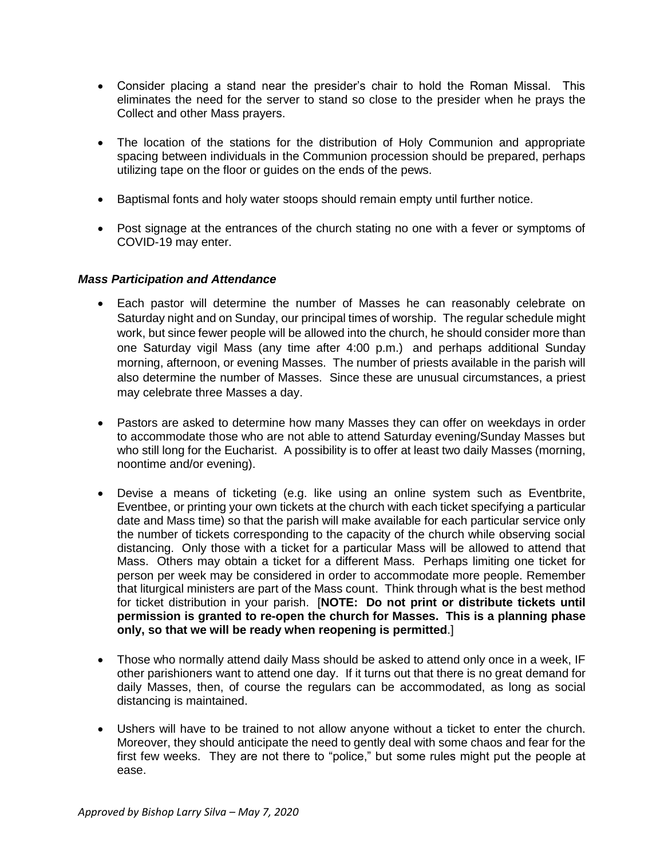- Consider placing a stand near the presider's chair to hold the Roman Missal. This eliminates the need for the server to stand so close to the presider when he prays the Collect and other Mass prayers.
- The location of the stations for the distribution of Holy Communion and appropriate spacing between individuals in the Communion procession should be prepared, perhaps utilizing tape on the floor or guides on the ends of the pews.
- Baptismal fonts and holy water stoops should remain empty until further notice.
- Post signage at the entrances of the church stating no one with a fever or symptoms of COVID-19 may enter.

### *Mass Participation and Attendance*

- Each pastor will determine the number of Masses he can reasonably celebrate on Saturday night and on Sunday, our principal times of worship. The regular schedule might work, but since fewer people will be allowed into the church, he should consider more than one Saturday vigil Mass (any time after 4:00 p.m.) and perhaps additional Sunday morning, afternoon, or evening Masses. The number of priests available in the parish will also determine the number of Masses. Since these are unusual circumstances, a priest may celebrate three Masses a day.
- Pastors are asked to determine how many Masses they can offer on weekdays in order to accommodate those who are not able to attend Saturday evening/Sunday Masses but who still long for the Eucharist. A possibility is to offer at least two daily Masses (morning, noontime and/or evening).
- Devise a means of ticketing (e.g. like using an online system such as Eventbrite, Eventbee, or printing your own tickets at the church with each ticket specifying a particular date and Mass time) so that the parish will make available for each particular service only the number of tickets corresponding to the capacity of the church while observing social distancing. Only those with a ticket for a particular Mass will be allowed to attend that Mass. Others may obtain a ticket for a different Mass. Perhaps limiting one ticket for person per week may be considered in order to accommodate more people. Remember that liturgical ministers are part of the Mass count. Think through what is the best method for ticket distribution in your parish. [**NOTE: Do not print or distribute tickets until permission is granted to re-open the church for Masses. This is a planning phase only, so that we will be ready when reopening is permitted**.]
- Those who normally attend daily Mass should be asked to attend only once in a week, IF other parishioners want to attend one day. If it turns out that there is no great demand for daily Masses, then, of course the regulars can be accommodated, as long as social distancing is maintained.
- Ushers will have to be trained to not allow anyone without a ticket to enter the church. Moreover, they should anticipate the need to gently deal with some chaos and fear for the first few weeks. They are not there to "police," but some rules might put the people at ease.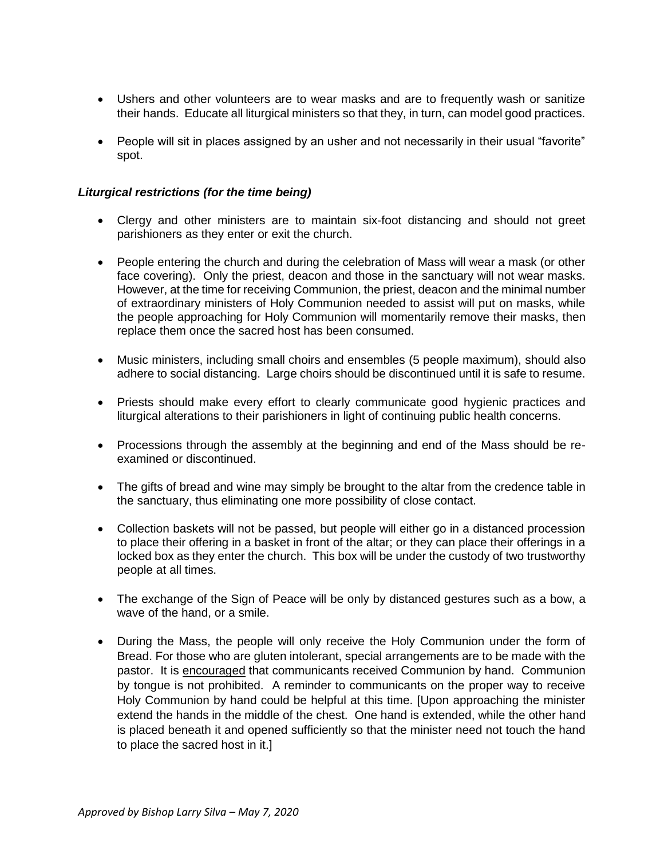- Ushers and other volunteers are to wear masks and are to frequently wash or sanitize their hands. Educate all liturgical ministers so that they, in turn, can model good practices.
- People will sit in places assigned by an usher and not necessarily in their usual "favorite" spot.

## *Liturgical restrictions (for the time being)*

- Clergy and other ministers are to maintain six-foot distancing and should not greet parishioners as they enter or exit the church.
- People entering the church and during the celebration of Mass will wear a mask (or other face covering). Only the priest, deacon and those in the sanctuary will not wear masks. However, at the time for receiving Communion, the priest, deacon and the minimal number of extraordinary ministers of Holy Communion needed to assist will put on masks, while the people approaching for Holy Communion will momentarily remove their masks, then replace them once the sacred host has been consumed.
- Music ministers, including small choirs and ensembles (5 people maximum), should also adhere to social distancing. Large choirs should be discontinued until it is safe to resume.
- Priests should make every effort to clearly communicate good hygienic practices and liturgical alterations to their parishioners in light of continuing public health concerns.
- Processions through the assembly at the beginning and end of the Mass should be reexamined or discontinued.
- The gifts of bread and wine may simply be brought to the altar from the credence table in the sanctuary, thus eliminating one more possibility of close contact.
- Collection baskets will not be passed, but people will either go in a distanced procession to place their offering in a basket in front of the altar; or they can place their offerings in a locked box as they enter the church. This box will be under the custody of two trustworthy people at all times.
- The exchange of the Sign of Peace will be only by distanced gestures such as a bow, a wave of the hand, or a smile.
- During the Mass, the people will only receive the Holy Communion under the form of Bread. For those who are gluten intolerant, special arrangements are to be made with the pastor. It is encouraged that communicants received Communion by hand. Communion by tongue is not prohibited. A reminder to communicants on the proper way to receive Holy Communion by hand could be helpful at this time. [Upon approaching the minister extend the hands in the middle of the chest. One hand is extended, while the other hand is placed beneath it and opened sufficiently so that the minister need not touch the hand to place the sacred host in it.]